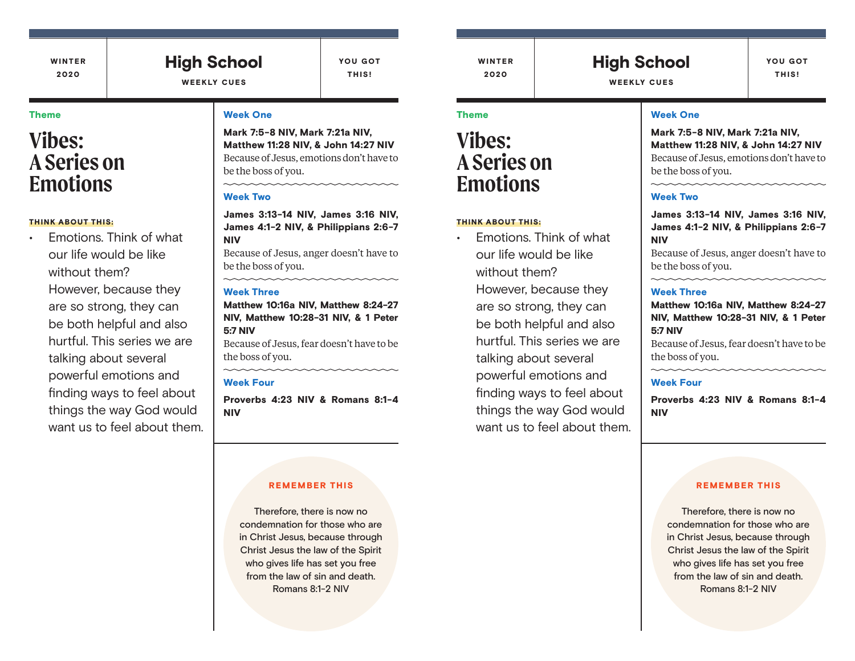WINTER 2020

### High School WEEKLY CUES

YOU GOT THIS!

#### Theme

# **Vibes: A Series on Emotions**

#### THINK ABOUT THIS:

• Emotions. Think of what our life would be like without them? However, because they are so strong, they can be both helpful and also hurtful. This series we are talking about several powerful emotions and finding ways to feel about things the way God would want us to feel about them.

#### Week One

Mark 7:5-8 NIV, Mark 7:21a NIV, Matthew 11:28 NIV, & John 14:27 NIV Because of Jesus, emotions don't have to be the boss of you.

#### Week Two

James 3:13-14 NIV, James 3:16 NIV, James 4:1-2 NIV, & Philippians 2:6-7 NIV

Because of Jesus, anger doesn't have to be the boss of you.

#### Week Three

Matthew 10:16a NIV, Matthew 8:24-27 NIV, Matthew 10:28-31 NIV, & 1 Peter 5:7 NIV

Because of Jesus, fear doesn't have to be the boss of you.

#### Week Four

Proverbs 4:23 NIV & Romans 8:1-4 NIV

#### REMEMBER THIS

Therefore, there is now no condemnation for those who are in Christ Jesus, because through Christ Jesus the law of the Spirit who gives life has set you free from the law of sin and death. Romans 8:1-2 NIV